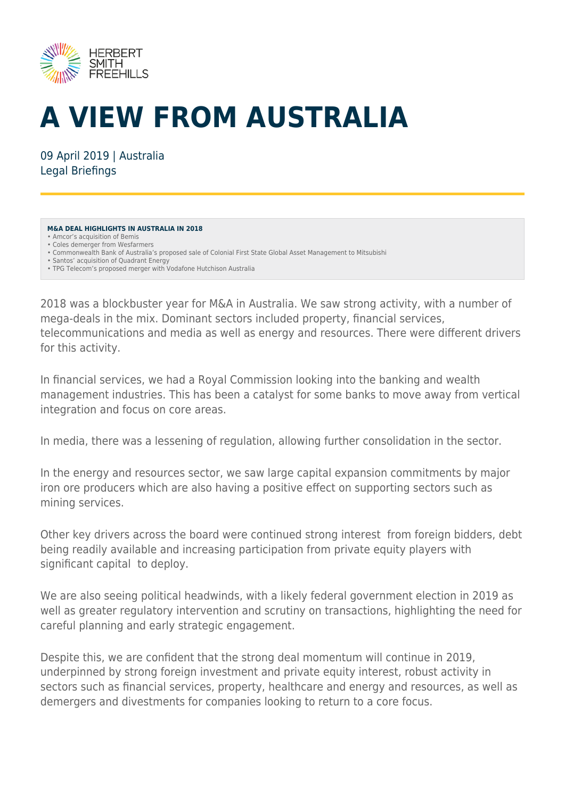

# **A VIEW FROM AUSTRALIA**

09 April 2019 | Australia Legal Briefings

#### **M&A DEAL HIGHLIGHTS IN AUSTRALIA IN 2018**

- Commonwealth Bank of Australia's proposed sale of Colonial First State Global Asset Management to Mitsubishi
- Santos' acquisition of Quadrant Energy
- TPG Telecom's proposed merger with Vodafone Hutchison Australia

2018 was a blockbuster year for M&A in Australia. We saw strong activity, with a number of mega-deals in the mix. Dominant sectors included property, financial services, telecommunications and media as well as energy and resources. There were different drivers for this activity.

In financial services, we had a Royal Commission looking into the banking and wealth management industries. This has been a catalyst for some banks to move away from vertical integration and focus on core areas.

In media, there was a lessening of regulation, allowing further consolidation in the sector.

In the energy and resources sector, we saw large capital expansion commitments by major iron ore producers which are also having a positive effect on supporting sectors such as mining services.

Other key drivers across the board were continued strong interest from foreign bidders, debt being readily available and increasing participation from private equity players with significant capital to deploy.

We are also seeing political headwinds, with a likely federal government election in 2019 as well as greater regulatory intervention and scrutiny on transactions, highlighting the need for careful planning and early strategic engagement.

Despite this, we are confident that the strong deal momentum will continue in 2019, underpinned by strong foreign investment and private equity interest, robust activity in sectors such as financial services, property, healthcare and energy and resources, as well as demergers and divestments for companies looking to return to a core focus.

<sup>•</sup> Amcor's acquisition of Bemis • Coles demerger from Wesfarmers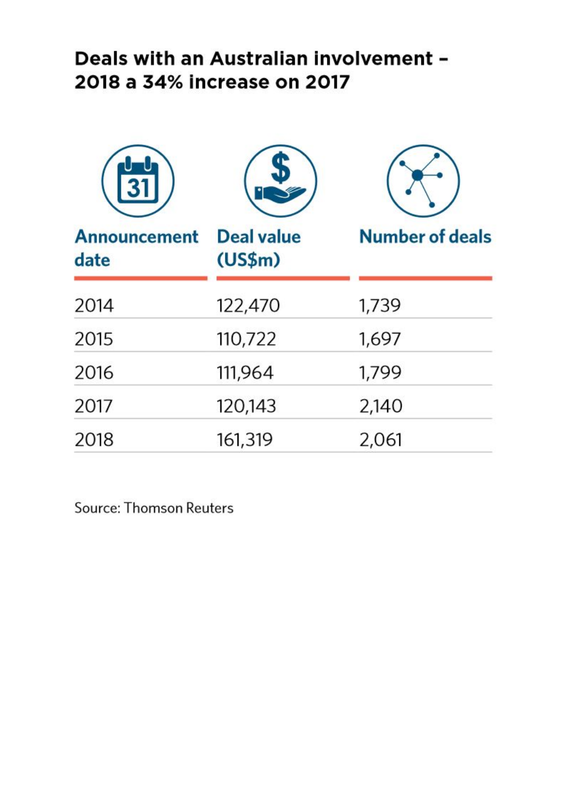### Deals with an Australian involvement -2018 a 34% increase on 2017

| <b>Announcement</b><br>date | <b>Deal value</b><br>(US\$m) | <b>Number of deals</b> |
|-----------------------------|------------------------------|------------------------|
| 2014                        | 122,470                      | 1,739                  |
| 2015                        | 110,722                      | 1,697                  |
| 2016                        | 111,964                      | 1,799                  |
| 2017                        | 120,143                      | 2,140                  |
| 2018                        | 161,319                      | 2,061                  |

**Source: Thomson Reuters**